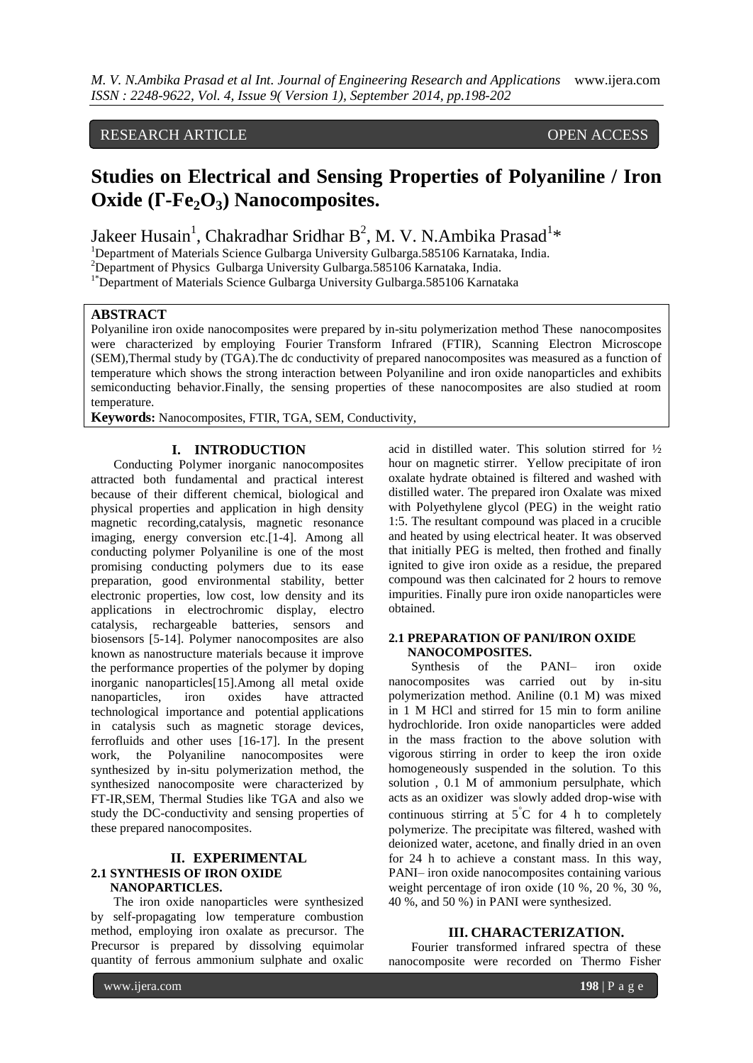# RESEARCH ARTICLE OPEN ACCESS

# **Studies on Electrical and Sensing Properties of Polyaniline / Iron Oxide (Γ-Fe2O3) Nanocomposites.**

Jakeer Husain<sup>1</sup>, Chakradhar Sridhar B<sup>2</sup>, M. V. N.Ambika Prasad<sup>1\*</sup>

<sup>1</sup>Department of Materials Science Gulbarga University Gulbarga.585106 Karnataka, India.

<sup>2</sup>Department of Physics Gulbarga University Gulbarga.585106 Karnataka, India.

<sup>1\*</sup>Department of Materials Science Gulbarga University Gulbarga.585106 Karnataka

## **ABSTRACT**

Polyaniline iron oxide nanocomposites were prepared by in-situ polymerization method These nanocomposites were characterized by employing Fourier Transform Infrared (FTIR), Scanning Electron Microscope (SEM),Thermal study by (TGA).The dc conductivity of prepared nanocomposites was measured as a function of temperature which shows the strong interaction between Polyaniline and iron oxide nanoparticles and exhibits semiconducting behavior.Finally, the sensing properties of these nanocomposites are also studied at room temperature.

**Keywords:** Nanocomposites, FTIR, TGA, SEM, Conductivity,

## **I. INTRODUCTION**

Conducting Polymer inorganic nanocomposites attracted both fundamental and practical interest because of their different chemical, biological and physical properties and application in high density magnetic recording,catalysis, magnetic resonance imaging, energy conversion etc.[1-4]. Among all conducting polymer Polyaniline is one of the most promising conducting polymers due to its ease preparation, good environmental stability, better electronic properties, low cost, low density and its applications in electrochromic display, electro catalysis, rechargeable batteries, sensors and biosensors [5-14]. Polymer nanocomposites are also known as nanostructure materials because it improve the performance properties of the polymer by doping inorganic nanoparticles[15].Among all metal oxide nanoparticles, iron oxides have attracted technological importance and potential applications in catalysis such as magnetic storage devices, ferrofluids and other uses [16-17]. In the present work, the Polyaniline nanocomposites were synthesized by in-situ polymerization method, the synthesized nanocomposite were characterized by FT-IR,SEM, Thermal Studies like TGA and also we study the DC-conductivity and sensing properties of these prepared nanocomposites.

# **II. EXPERIMENTAL 2.1 SYNTHESIS OF IRON OXIDE NANOPARTICLES.**

The iron oxide nanoparticles were synthesized by self-propagating low temperature combustion method, employing iron oxalate as precursor. The Precursor is prepared by dissolving equimolar quantity of ferrous ammonium sulphate and oxalic

acid in distilled water. This solution stirred for ½ hour on magnetic stirrer. Yellow precipitate of iron oxalate hydrate obtained is filtered and washed with distilled water. The prepared iron Oxalate was mixed with Polyethylene glycol (PEG) in the weight ratio 1:5. The resultant compound was placed in a crucible and heated by using electrical heater. It was observed that initially PEG is melted, then frothed and finally ignited to give iron oxide as a residue, the prepared compound was then calcinated for 2 hours to remove impurities. Finally pure iron oxide nanoparticles were obtained.

## **2.1 PREPARATION OF PANI/IRON OXIDE NANOCOMPOSITES.**

Synthesis of the PANI– iron oxide nanocomposites was carried out by in-situ polymerization method. Aniline (0.1 M) was mixed in 1 M HCl and stirred for 15 min to form aniline hydrochloride. Iron oxide nanoparticles were added in the mass fraction to the above solution with vigorous stirring in order to keep the iron oxide homogeneously suspended in the solution. To this solution , 0.1 M of ammonium persulphate, which acts as an oxidizer was slowly added drop-wise with continuous stirring at  $5^{\circ}$ C for 4 h to completely polymerize. The precipitate was filtered, washed with deionized water, acetone, and finally dried in an oven for 24 h to achieve a constant mass. In this way, PANI– iron oxide nanocomposites containing various weight percentage of iron oxide (10 %, 20 %, 30 %, 40 %, and 50 %) in PANI were synthesized.

# **III. CHARACTERIZATION.**

Fourier transformed infrared spectra of these nanocomposite were recorded on Thermo Fisher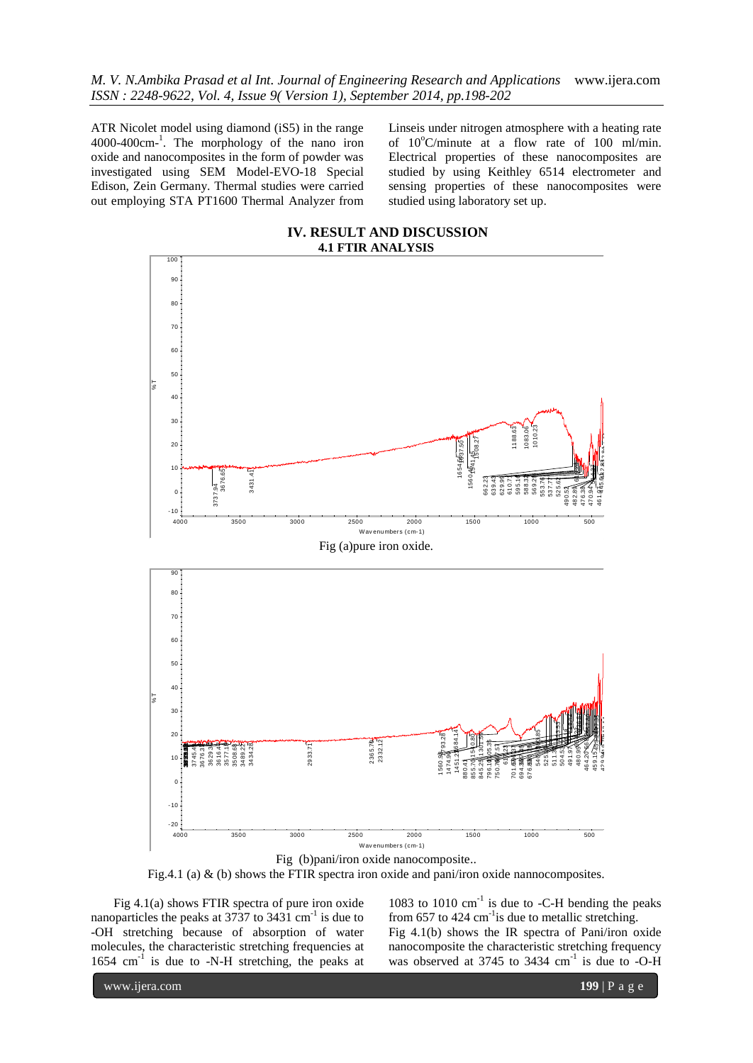*M. V. N.Ambika Prasad et al Int. Journal of Engineering Research and Applications* www.ijera.com *ISSN : 2248-9622, Vol. 4, Issue 9( Version 1), September 2014, pp.198-202*

ATR Nicolet model using diamond (iS5) in the range 4000-400cm-1 . The morphology of the nano iron oxide and nanocomposites in the form of powder was investigated using SEM Model-EVO-18 Special Edison, Zein Germany. Thermal studies were carried out employing STA PT1600 Thermal Analyzer from Linseis under nitrogen atmosphere with a heating rate of  $10^{\circ}$ C/minute at a flow rate of 100 ml/min. Electrical properties of these nanocomposites are studied by using Keithley 6514 electrometer and sensing properties of these nanocomposites were studied using laboratory set up.



Fig (b)pani/iron oxide nanocomposite..

Fig.4.1 (a)  $\&$  (b) shows the FTIR spectra iron oxide and pani/iron oxide nannocomposites.

Fig 4.1(a) shows FTIR spectra of pure iron oxide nanoparticles the peaks at  $3737$  to  $3431$  cm<sup>-1</sup> is due to -OH stretching because of absorption of water molecules, the characteristic stretching frequencies at 1654 cm-1 is due to -N-H stretching, the peaks at 1083 to  $1010 \text{ cm}^{-1}$  is due to -C-H bending the peaks from 657 to 424  $\text{cm}^{-1}$  is due to metallic stretching. Fig 4.1(b) shows the IR spectra of Pani/iron oxide nanocomposite the characteristic stretching frequency was observed at 3745 to 3434 cm<sup>-1</sup> is due to -O-H

www.ijera.com **199** | P a g e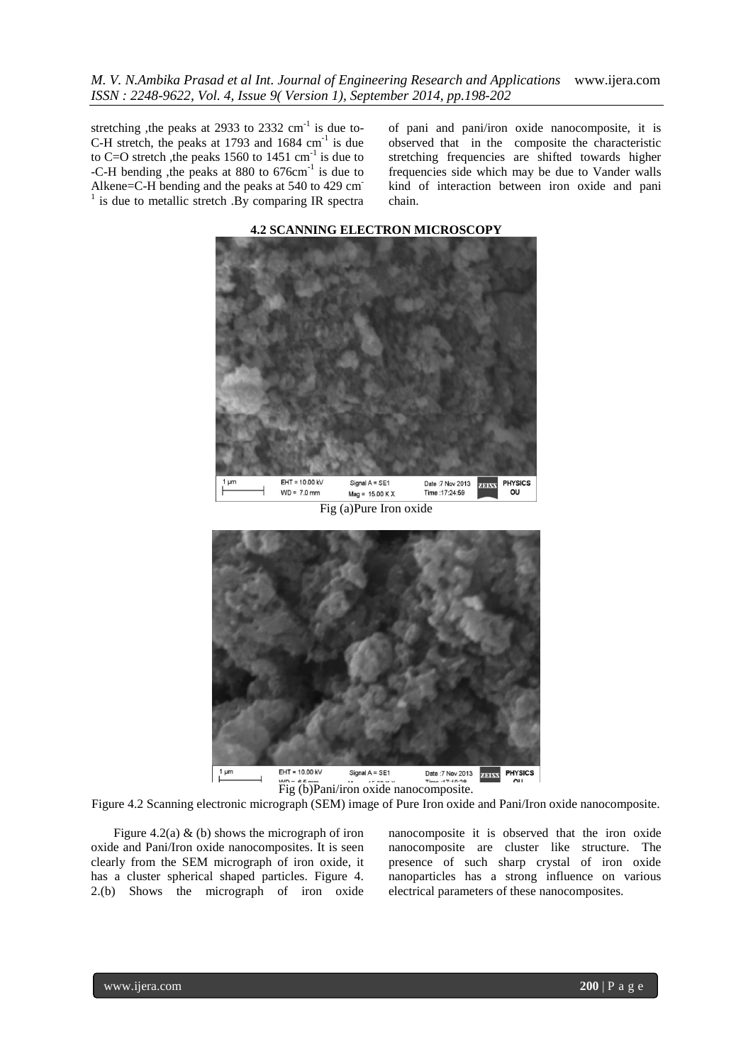*M. V. N.Ambika Prasad et al Int. Journal of Engineering Research and Applications* www.ijera.com *ISSN : 2248-9622, Vol. 4, Issue 9( Version 1), September 2014, pp.198-202*

stretching ,the peaks at 2933 to 2332  $\text{cm}^{-1}$  is due to-C-H stretch, the peaks at 1793 and  $1684 \text{ cm}^{-1}$  is due to C=O stretch, the peaks 1560 to 1451  $\text{cm}^{-1}$  is due to -C-H bending , the peaks at 880 to 676cm<sup>-1</sup> is due to Alkene=C-H bending and the peaks at 540 to 429 cm-<sup>1</sup> is due to metallic stretch .By comparing IR spectra of pani and pani/iron oxide nanocomposite, it is observed that in the composite the characteristic stretching frequencies are shifted towards higher frequencies side which may be due to Vander walls kind of interaction between iron oxide and pani chain.



**4.2 SCANNING ELECTRON MICROSCOPY**

Fig (a)Pure Iron oxide



Figure 4.2 Scanning electronic micrograph (SEM) image of Pure Iron oxide and Pani/Iron oxide nanocomposite.

Figure 4.2(a)  $\&$  (b) shows the micrograph of iron oxide and Pani/Iron oxide nanocomposites. It is seen clearly from the SEM micrograph of iron oxide, it has a cluster spherical shaped particles. Figure 4. 2.(b) Shows the micrograph of iron oxide

nanocomposite it is observed that the iron oxide nanocomposite are cluster like structure. The presence of such sharp crystal of iron oxide nanoparticles has a strong influence on various electrical parameters of these nanocomposites.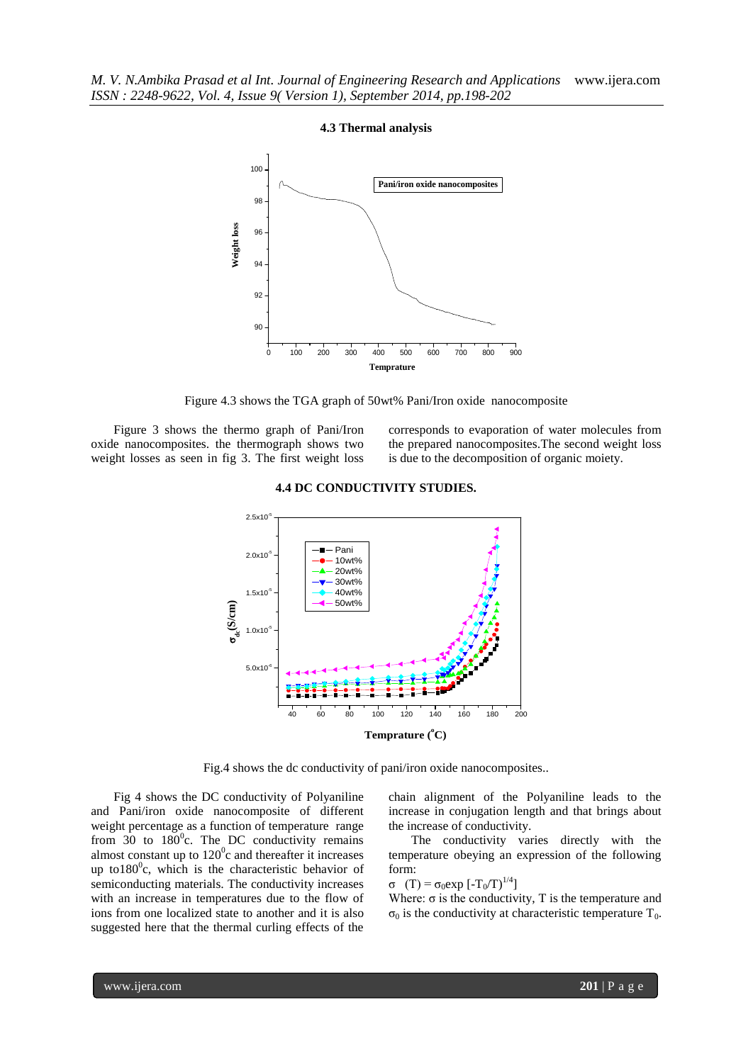

### **4.3 Thermal analysis**

Figure 4.3 shows the TGA graph of 50wt% Pani/Iron oxide nanocomposite

Figure 3 shows the thermo graph of Pani/Iron oxide nanocomposites. the thermograph shows two weight losses as seen in fig 3. The first weight loss corresponds to evaporation of water molecules from the prepared nanocomposites.The second weight loss is due to the decomposition of organic moiety.



### **4.4 DC CONDUCTIVITY STUDIES.**

Fig.4 shows the dc conductivity of pani/iron oxide nanocomposites..

Fig 4 shows the DC conductivity of Polyaniline and Pani/iron oxide nanocomposite of different weight percentage as a function of temperature range from  $30$  to  $180^{\circ}$ c. The DC conductivity remains almost constant up to  $120^{\circ}$ c and thereafter it increases up to180 $^0$ c, which is the characteristic behavior of semiconducting materials. The conductivity increases with an increase in temperatures due to the flow of ions from one localized state to another and it is also suggested here that the thermal curling effects of the

chain alignment of the Polyaniline leads to the increase in conjugation length and that brings about the increase of conductivity.

The conductivity varies directly with the temperature obeying an expression of the following form:

$$
\sigma (T) = \sigma_0 \exp[-T_0/T)^{1/4}]
$$

Where:  $\sigma$  is the conductivity, T is the temperature and  $σ<sub>0</sub>$  is the conductivity at characteristic temperature T<sub>0</sub>.